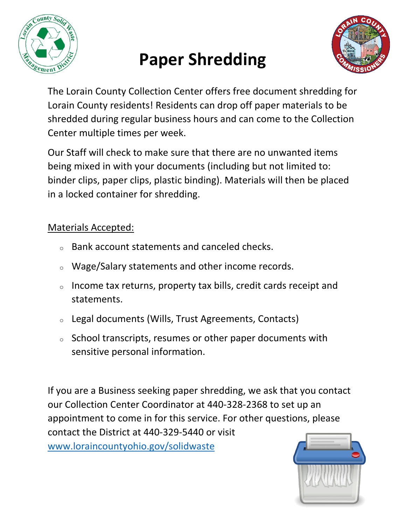

## **Paper Shredding**



The Lorain County Collection Center offers free document shredding for Lorain County residents! Residents can drop off paper materials to be shredded during regular business hours and can come to the Collection Center multiple times per week.

Our Staff will check to make sure that there are no unwanted items being mixed in with your documents (including but not limited to: binder clips, paper clips, plastic binding). Materials will then be placed in a locked container for shredding.

## Materials Accepted:

- Bank account statements and canceled checks.
- <sup>o</sup> Wage/Salary statements and other income records.
- <sup>o</sup> Income tax returns, property tax bills, credit cards receipt and statements.
- <sup>o</sup> Legal documents (Wills, Trust Agreements, Contacts)
- <sup>o</sup> School transcripts, resumes or other paper documents with sensitive personal information.

If you are a Business seeking paper shredding, we ask that you contact our Collection Center Coordinator at 440-328-2368 to set up an appointment to come in for this service. For other questions, please contact the District at 440-329-5440 or visit [www.loraincountyohio.gov/solidwaste](http://www.loraincountyohio.gov/solidwaste)